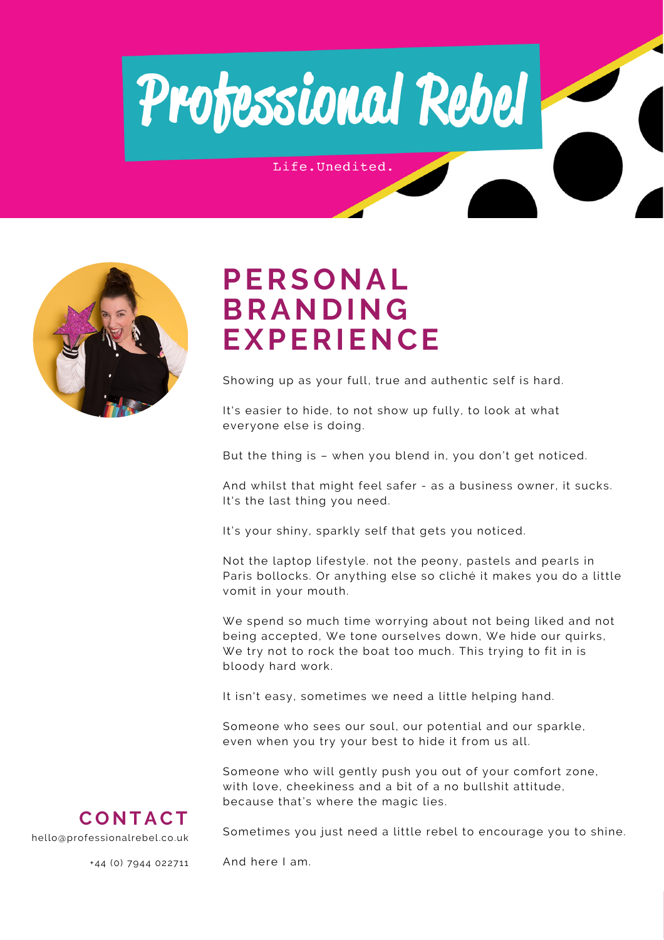

Life.Unedited.



### **PERSONAL BRANDING EXPERIENCE**

Showing up as your full, true and authentic self is hard.

It's easier to hide, to not show up fully, to look at what everyone else is doing.

But the thing is – when you blend in, you don't get noticed.

And whilst that might feel safer - as a business owner, it sucks. It's the last thing you need.

It's your shiny, sparkly self that gets you noticed.

Not the laptop lifestyle. not the peony, pastels and pearls in Paris bollocks. Or anything else so cliché it makes you do a little vomit in your mouth.

We spend so much time worrying about not being liked and not being accepted, We tone ourselves down, We hide our quirks, We try not to rock the boat too much. This trying to fit in is bloody hard work.

It isn't easy, sometimes we need a little helping hand.

Someone who sees our soul, our potential and our sparkle, even when you try your best to hide it from us all.

Someone who will gently push you out of your comfort zone, with love, cheekiness and a bit of a no bullshit attitude, because that's where the magic lies.



Sometimes you just need a little rebel to encourage you to shine.

+44 (0) 7944 022711

And here I am.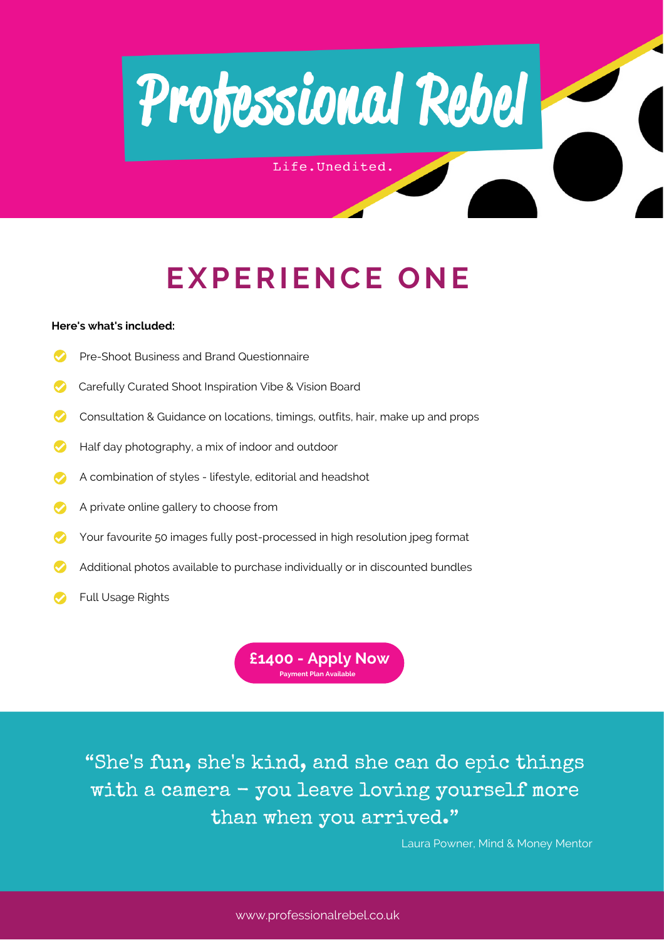

Life.Unedited.

## **EXPERIENCE ONE**

### **Here's what's [included:](https://calendly.com/professionalrebel/half-day-personal-branding-experience)**

- [P](https://calendly.com/professionalrebel/half-day-personal-branding-experience)re-Shoot Business and Brand [Questionnaire](https://calendly.com/professionalrebel/half-day-personal-branding-experience)
- [C](https://calendly.com/professionalrebel/half-day-personal-branding-experience)arefully Curated Shoot [Inspiration](https://calendly.com/professionalrebel/half-day-personal-branding-experience) Vibe & Vision Board
- [Consultation](https://calendly.com/professionalrebel/half-day-personal-branding-experience) & Guidance on locations, timings, outfits, hair, make up and props
- Half day [photography,](https://calendly.com/professionalrebel/half-day-personal-branding-experience) a mix of indoor and outdoor
- [A](https://calendly.com/professionalrebel/half-day-personal-branding-experience) [combination](https://calendly.com/professionalrebel/half-day-personal-branding-experience) of styles lifestyle, editorial and headshot
- [A](https://calendly.com/professionalrebel/half-day-personal-branding-experience) private online gallery to [choose](https://calendly.com/professionalrebel/half-day-personal-branding-experience) fro[m](https://calendly.com/professionalrebel/half-day-personal-branding-experience)
- [Y](https://calendly.com/professionalrebel/half-day-personal-branding-experience)our favourite 50 images fully [post-processed](https://calendly.com/professionalrebel/half-day-personal-branding-experience) in high resolution jpeg format
- [A](https://calendly.com/professionalrebel/half-day-personal-branding-experience)dditional photos available to purchase [individually](https://calendly.com/professionalrebel/half-day-personal-branding-experience) or in discounted bundles
- [F](https://calendly.com/professionalrebel/half-day-personal-branding-experience)ull [Usage](https://calendly.com/professionalrebel/half-day-personal-branding-experience) Rights

**[£1400](https://calendly.com/professionalrebel/half-day-personal-branding-experience) - Apply Now Payment Plan Available**

"She's fun, she's kind, and she can do epic things with a camera - you leave loving yourself more than when you arrived."

Laura Powner, Mind & Money Mentor